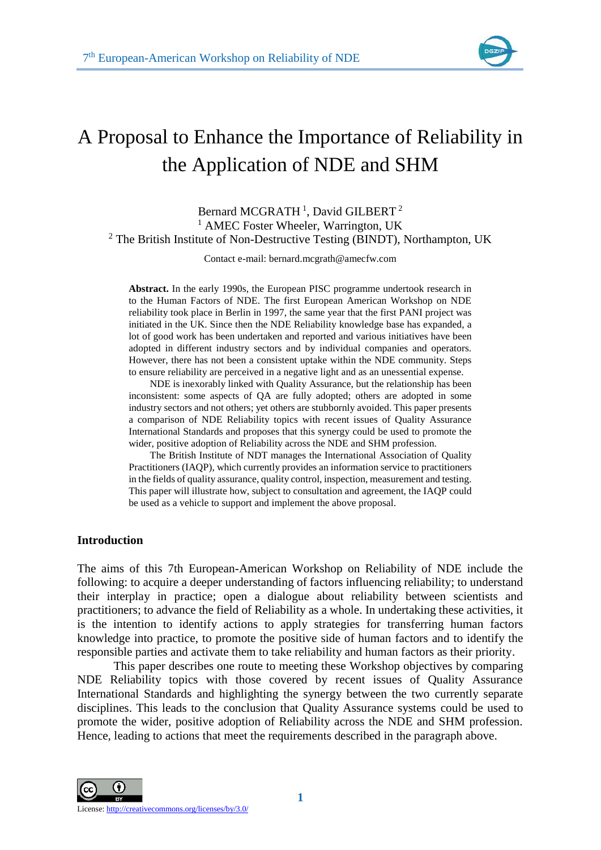

# A Proposal to Enhance the Importance of Reliability in the Application of NDE and SHM

# Bernard MCGRATH<sup>1</sup>, David GILBERT<sup>2</sup> <sup>1</sup> AMEC Foster Wheeler, Warrington, UK  $2$  The British Institute of Non-Destructive Testing (BINDT), Northampton, UK

Contact e-mail: bernard.mcgrath@amecfw.com

**Abstract.** In the early 1990s, the European PISC programme undertook research in to the Human Factors of NDE. The first European American Workshop on NDE reliability took place in Berlin in 1997, the same year that the first PANI project was initiated in the UK. Since then the NDE Reliability knowledge base has expanded, a lot of good work has been undertaken and reported and various initiatives have been adopted in different industry sectors and by individual companies and operators. However, there has not been a consistent uptake within the NDE community. Steps to ensure reliability are perceived in a negative light and as an unessential expense.

NDE is inexorably linked with Quality Assurance, but the relationship has been inconsistent: some aspects of QA are fully adopted; others are adopted in some industry sectors and not others; yet others are stubbornly avoided. This paper presents a comparison of NDE Reliability topics with recent issues of Quality Assurance International Standards and proposes that this synergy could be used to promote the wider, positive adoption of Reliability across the NDE and SHM profession.

The British Institute of NDT manages the International Association of Quality Practitioners (IAQP), which currently provides an information service to practitioners in the fields of quality assurance, quality control, inspection, measurement and testing. This paper will illustrate how, subject to consultation and agreement, the IAQP could be used as a vehicle to support and implement the above proposal.

## **Introduction**

The aims of this 7th European-American Workshop on Reliability of NDE include the following: to acquire a deeper understanding of factors influencing reliability; to understand their interplay in practice; open a dialogue about reliability between scientists and practitioners; to advance the field of Reliability as a whole. In undertaking these activities, it is the intention to identify actions to apply strategies for transferring human factors knowledge into practice, to promote the positive side of human factors and to identify the responsible parties and activate them to take reliability and human factors as their priority.

This paper describes one route to meeting these Workshop objectives by comparing NDE Reliability topics with those covered by recent issues of Quality Assurance International Standards and highlighting the synergy between the two currently separate disciplines. This leads to the conclusion that Quality Assurance systems could be used to promote the wider, positive adoption of Reliability across the NDE and SHM profession. Hence, leading to actions that meet the requirements described in the paragraph above.



**1**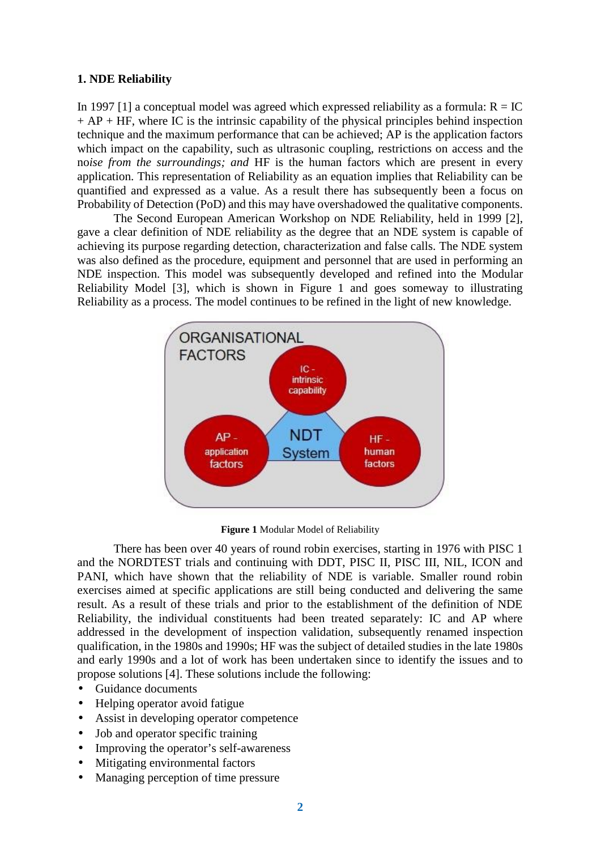# **1. NDE Reliability**

In 1997 [1] a conceptual model was agreed which expressed reliability as a formula:  $R = IC$  $+ AP + HF$ , where IC is the intrinsic capability of the physical principles behind inspection technique and the maximum performance that can be achieved; AP is the application factors which impact on the capability, such as ultrasonic coupling, restrictions on access and the no*ise from the surroundings; and* HF is the human factors which are present in every application. This representation of Reliability as an equation implies that Reliability can be quantified and expressed as a value. As a result there has subsequently been a focus on Probability of Detection (PoD) and this may have overshadowed the qualitative components.

The Second European American Workshop on NDE Reliability, held in 1999 [2], gave a clear definition of NDE reliability as the degree that an NDE system is capable of achieving its purpose regarding detection, characterization and false calls. The NDE system was also defined as the procedure, equipment and personnel that are used in performing an NDE inspection. This model was subsequently developed and refined into the Modular Reliability Model [3], which is shown in Figure 1 and goes someway to illustrating Reliability as a process. The model continues to be refined in the light of new knowledge.



**Figure 1** Modular Model of Reliability

There has been over 40 years of round robin exercises, starting in 1976 with PISC 1 and the NORDTEST trials and continuing with DDT, PISC II, PISC III, NIL, ICON and PANI, which have shown that the reliability of NDE is variable. Smaller round robin exercises aimed at specific applications are still being conducted and delivering the same result. As a result of these trials and prior to the establishment of the definition of NDE Reliability, the individual constituents had been treated separately: IC and AP where addressed in the development of inspection validation, subsequently renamed inspection qualification, in the 1980s and 1990s; HF was the subject of detailed studies in the late 1980s and early 1990s and a lot of work has been undertaken since to identify the issues and to propose solutions [4]. These solutions include the following:

- Guidance documents
- Helping operator avoid fatigue
- Assist in developing operator competence
- Job and operator specific training
- Improving the operator's self-awareness
- Mitigating environmental factors
- Managing perception of time pressure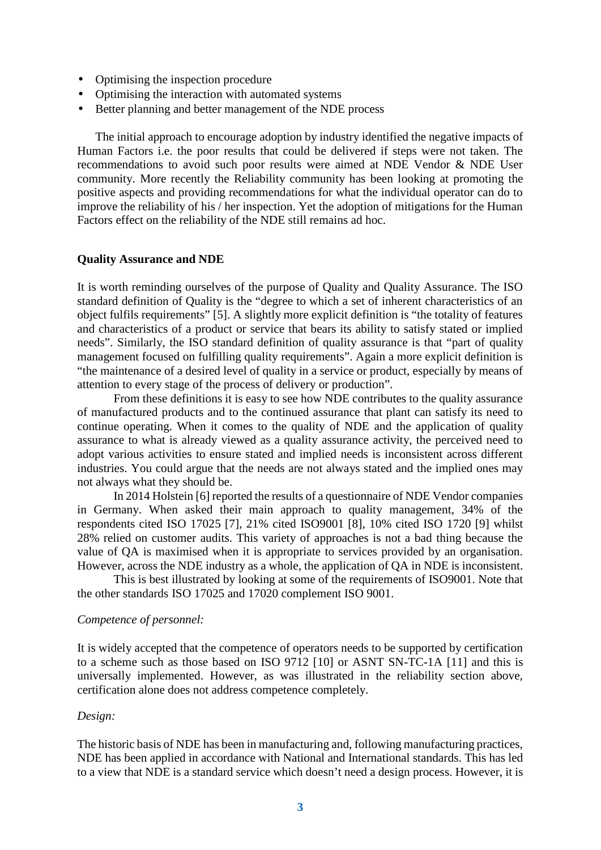- Optimising the inspection procedure
- Optimising the interaction with automated systems
- Better planning and better management of the NDE process

The initial approach to encourage adoption by industry identified the negative impacts of Human Factors i.e. the poor results that could be delivered if steps were not taken. The recommendations to avoid such poor results were aimed at NDE Vendor & NDE User community. More recently the Reliability community has been looking at promoting the positive aspects and providing recommendations for what the individual operator can do to improve the reliability of his / her inspection. Yet the adoption of mitigations for the Human Factors effect on the reliability of the NDE still remains ad hoc.

# **Quality Assurance and NDE**

It is worth reminding ourselves of the purpose of Quality and Quality Assurance. The ISO standard definition of Quality is the "degree to which a set of inherent characteristics of an object fulfils requirements" [5]. A slightly more explicit definition is "the totality of features and characteristics of a product or service that bears its ability to satisfy stated or implied needs". Similarly, the ISO standard definition of quality assurance is that "part of quality management focused on fulfilling quality requirements". Again a more explicit definition is "the maintenance of a desired level of quality in a service or product, especially by means of attention to every stage of the process of delivery or production".

From these definitions it is easy to see how NDE contributes to the quality assurance of manufactured products and to the continued assurance that plant can satisfy its need to continue operating. When it comes to the quality of NDE and the application of quality assurance to what is already viewed as a quality assurance activity, the perceived need to adopt various activities to ensure stated and implied needs is inconsistent across different industries. You could argue that the needs are not always stated and the implied ones may not always what they should be.

In 2014 Holstein [6] reported the results of a questionnaire of NDE Vendor companies in Germany. When asked their main approach to quality management, 34% of the respondents cited ISO 17025 [7], 21% cited ISO9001 [8], 10% cited ISO 1720 [9] whilst 28% relied on customer audits. This variety of approaches is not a bad thing because the value of QA is maximised when it is appropriate to services provided by an organisation. However, across the NDE industry as a whole, the application of QA in NDE is inconsistent.

This is best illustrated by looking at some of the requirements of ISO9001. Note that the other standards ISO 17025 and 17020 complement ISO 9001.

## *Competence of personnel:*

It is widely accepted that the competence of operators needs to be supported by certification to a scheme such as those based on ISO 9712 [10] or ASNT SN-TC-1A [11] and this is universally implemented. However, as was illustrated in the reliability section above, certification alone does not address competence completely.

#### *Design:*

The historic basis of NDE has been in manufacturing and, following manufacturing practices, NDE has been applied in accordance with National and International standards. This has led to a view that NDE is a standard service which doesn't need a design process. However, it is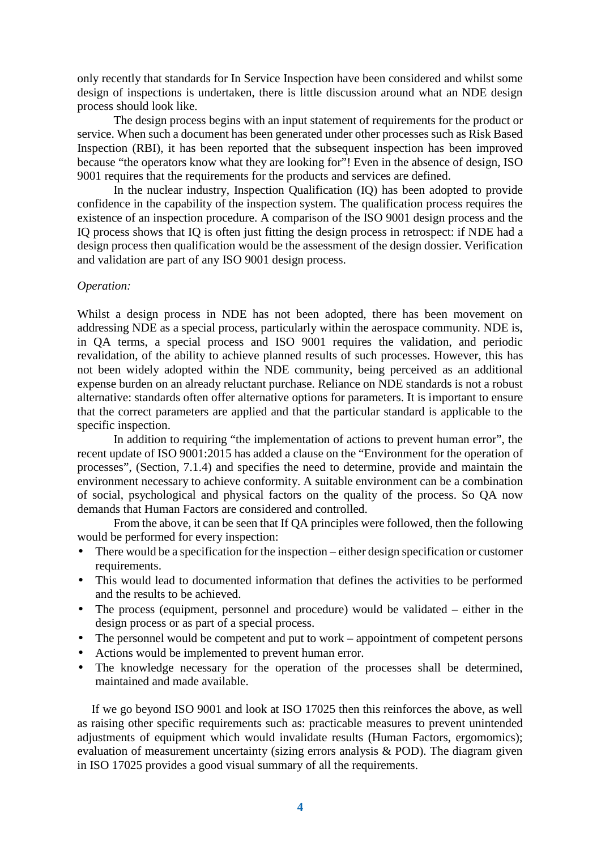only recently that standards for In Service Inspection have been considered and whilst some design of inspections is undertaken, there is little discussion around what an NDE design process should look like.

The design process begins with an input statement of requirements for the product or service. When such a document has been generated under other processes such as Risk Based Inspection (RBI), it has been reported that the subsequent inspection has been improved because "the operators know what they are looking for"! Even in the absence of design, ISO 9001 requires that the requirements for the products and services are defined.

In the nuclear industry, Inspection Qualification (IQ) has been adopted to provide confidence in the capability of the inspection system. The qualification process requires the existence of an inspection procedure. A comparison of the ISO 9001 design process and the IQ process shows that IQ is often just fitting the design process in retrospect: if NDE had a design process then qualification would be the assessment of the design dossier. Verification and validation are part of any ISO 9001 design process.

# *Operation:*

Whilst a design process in NDE has not been adopted, there has been movement on addressing NDE as a special process, particularly within the aerospace community. NDE is, in QA terms, a special process and ISO 9001 requires the validation, and periodic revalidation, of the ability to achieve planned results of such processes. However, this has not been widely adopted within the NDE community, being perceived as an additional expense burden on an already reluctant purchase. Reliance on NDE standards is not a robust alternative: standards often offer alternative options for parameters. It is important to ensure that the correct parameters are applied and that the particular standard is applicable to the specific inspection.

In addition to requiring "the implementation of actions to prevent human error", the recent update of ISO 9001:2015 has added a clause on the "Environment for the operation of processes", (Section, 7.1.4) and specifies the need to determine, provide and maintain the environment necessary to achieve conformity. A suitable environment can be a combination of social, psychological and physical factors on the quality of the process. So QA now demands that Human Factors are considered and controlled.

From the above, it can be seen that If QA principles were followed, then the following would be performed for every inspection:

- There would be a specification for the inspection either design specification or customer requirements.
- This would lead to documented information that defines the activities to be performed and the results to be achieved.
- The process (equipment, personnel and procedure) would be validated either in the design process or as part of a special process.
- The personnel would be competent and put to work appointment of competent persons
- Actions would be implemented to prevent human error.
- The knowledge necessary for the operation of the processes shall be determined, maintained and made available.

If we go beyond ISO 9001 and look at ISO 17025 then this reinforces the above, as well as raising other specific requirements such as: practicable measures to prevent unintended adjustments of equipment which would invalidate results (Human Factors, ergomomics); evaluation of measurement uncertainty (sizing errors analysis & POD). The diagram given in ISO 17025 provides a good visual summary of all the requirements.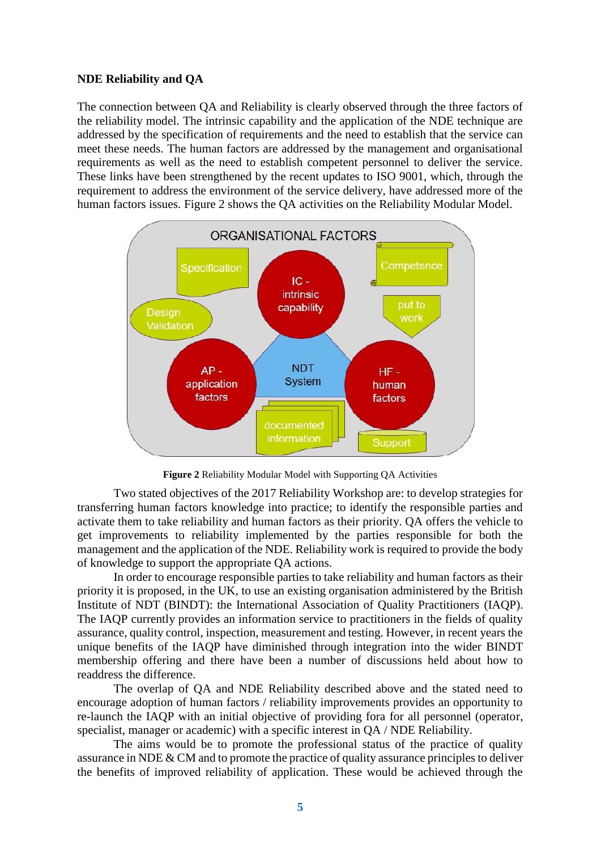### **NDE Reliability and QA**

The connection between QA and Reliability is clearly observed through the three factors of the reliability model. The intrinsic capability and the application of the NDE technique are addressed by the specification of requirements and the need to establish that the service can meet these needs. The human factors are addressed by the management and organisational requirements as well as the need to establish competent personnel to deliver the service. These links have been strengthened by the recent updates to ISO 9001, which, through the requirement to address the environment of the service delivery, have addressed more of the human factors issues. Figure 2 shows the QA activities on the Reliability Modular Model.



**Figure 2** Reliability Modular Model with Supporting QA Activities

Two stated objectives of the 2017 Reliability Workshop are: to develop strategies for transferring human factors knowledge into practice; to identify the responsible parties and activate them to take reliability and human factors as their priority. QA offers the vehicle to get improvements to reliability implemented by the parties responsible for both the management and the application of the NDE. Reliability work is required to provide the body of knowledge to support the appropriate QA actions.

In order to encourage responsible parties to take reliability and human factors as their priority it is proposed, in the UK, to use an existing organisation administered by the British Institute of NDT (BINDT): the International Association of Quality Practitioners (IAQP). The IAQP currently provides an information service to practitioners in the fields of quality assurance, quality control, inspection, measurement and testing. However, in recent years the unique benefits of the IAQP have diminished through integration into the wider BINDT membership offering and there have been a number of discussions held about how to readdress the difference.

The overlap of QA and NDE Reliability described above and the stated need to encourage adoption of human factors / reliability improvements provides an opportunity to re-launch the IAQP with an initial objective of providing fora for all personnel (operator, specialist, manager or academic) with a specific interest in QA / NDE Reliability.

The aims would be to promote the professional status of the practice of quality assurance in NDE & CM and to promote the practice of quality assurance principles to deliver the benefits of improved reliability of application. These would be achieved through the